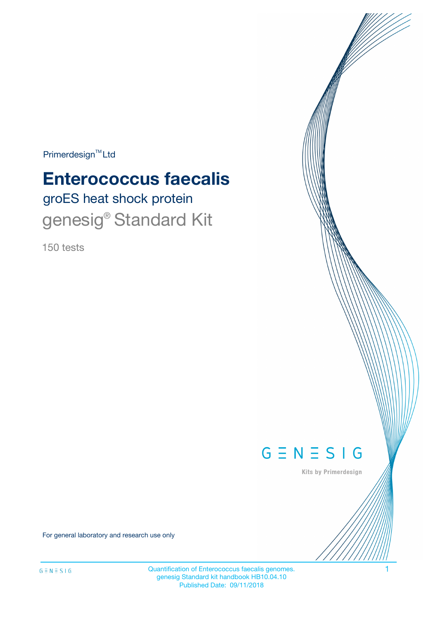$Primerdesign^{TM}$ Ltd

# groES heat shock protein **Enterococcus faecalis**

genesig<sup>®</sup> Standard Kit

150 tests



Kits by Primerdesign

For general laboratory and research use only

Quantification of Enterococcus faecalis genomes. 1 genesig Standard kit handbook HB10.04.10 Published Date: 09/11/2018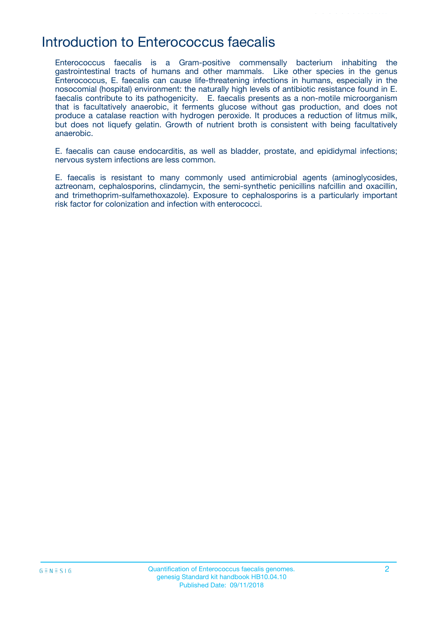### Introduction to Enterococcus faecalis

Enterococcus faecalis is a Gram-positive commensally bacterium inhabiting the gastrointestinal tracts of humans and other mammals. Like other species in the genus Enterococcus, E. faecalis can cause life-threatening infections in humans, especially in the nosocomial (hospital) environment: the naturally high levels of antibiotic resistance found in E. faecalis contribute to its pathogenicity. E. faecalis presents as a non-motile microorganism that is facultatively anaerobic, it ferments glucose without gas production, and does not produce a catalase reaction with hydrogen peroxide. It produces a reduction of litmus milk, but does not liquefy gelatin. Growth of nutrient broth is consistent with being facultatively anaerobic.

E. faecalis can cause endocarditis, as well as bladder, prostate, and epididymal infections; nervous system infections are less common.

E. faecalis is resistant to many commonly used antimicrobial agents (aminoglycosides, aztreonam, cephalosporins, clindamycin, the semi-synthetic penicillins nafcillin and oxacillin, and trimethoprim-sulfamethoxazole). Exposure to cephalosporins is a particularly important risk factor for colonization and infection with enterococci.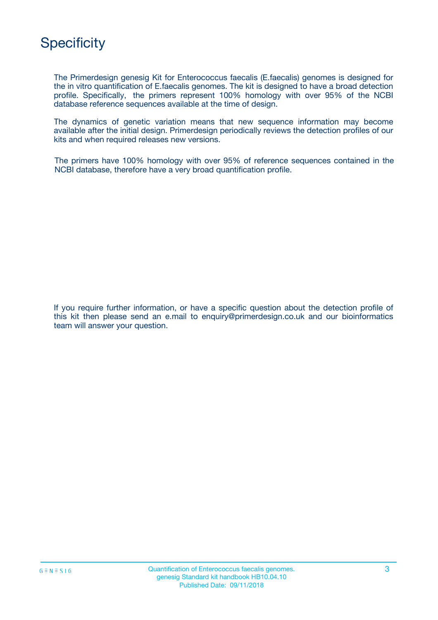

The Primerdesign genesig Kit for Enterococcus faecalis (E.faecalis) genomes is designed for the in vitro quantification of E.faecalis genomes. The kit is designed to have a broad detection profile. Specifically, the primers represent 100% homology with over 95% of the NCBI database reference sequences available at the time of design.

The dynamics of genetic variation means that new sequence information may become available after the initial design. Primerdesign periodically reviews the detection profiles of our kits and when required releases new versions.

The primers have 100% homology with over 95% of reference sequences contained in the NCBI database, therefore have a very broad quantification profile.

If you require further information, or have a specific question about the detection profile of this kit then please send an e.mail to enquiry@primerdesign.co.uk and our bioinformatics team will answer your question.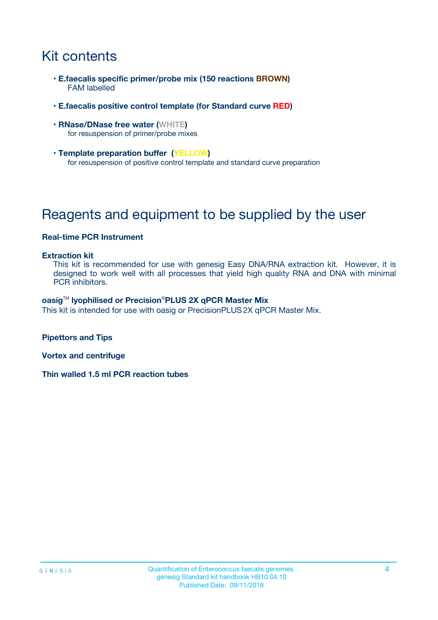## Kit contents

- **E.faecalis specific primer/probe mix (150 reactions BROWN)** FAM labelled
- **E.faecalis positive control template (for Standard curve RED)**
- **RNase/DNase free water (WHITE)** for resuspension of primer/probe mixes
- **Template preparation buffer (YELLOW)** for resuspension of positive control template and standard curve preparation

## Reagents and equipment to be supplied by the user

#### **Real-time PCR Instrument**

#### **Extraction kit**

This kit is recommended for use with genesig Easy DNA/RNA extraction kit. However, it is designed to work well with all processes that yield high quality RNA and DNA with minimal PCR inhibitors.

#### **oasig**TM **lyophilised or Precision**®**PLUS 2X qPCR Master Mix**

This kit is intended for use with oasig or PrecisionPLUS2X qPCR Master Mix.

**Pipettors and Tips**

**Vortex and centrifuge**

**Thin walled 1.5 ml PCR reaction tubes**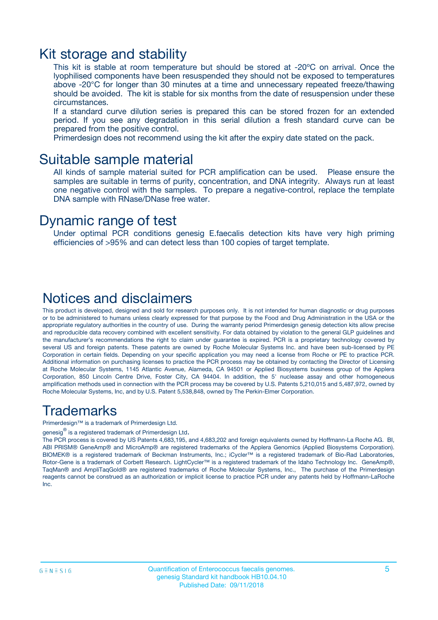### Kit storage and stability

This kit is stable at room temperature but should be stored at -20ºC on arrival. Once the lyophilised components have been resuspended they should not be exposed to temperatures above -20°C for longer than 30 minutes at a time and unnecessary repeated freeze/thawing should be avoided. The kit is stable for six months from the date of resuspension under these circumstances.

If a standard curve dilution series is prepared this can be stored frozen for an extended period. If you see any degradation in this serial dilution a fresh standard curve can be prepared from the positive control.

Primerdesign does not recommend using the kit after the expiry date stated on the pack.

### Suitable sample material

All kinds of sample material suited for PCR amplification can be used. Please ensure the samples are suitable in terms of purity, concentration, and DNA integrity. Always run at least one negative control with the samples. To prepare a negative-control, replace the template DNA sample with RNase/DNase free water.

### Dynamic range of test

Under optimal PCR conditions genesig E.faecalis detection kits have very high priming efficiencies of >95% and can detect less than 100 copies of target template.

### Notices and disclaimers

This product is developed, designed and sold for research purposes only. It is not intended for human diagnostic or drug purposes or to be administered to humans unless clearly expressed for that purpose by the Food and Drug Administration in the USA or the appropriate regulatory authorities in the country of use. During the warranty period Primerdesign genesig detection kits allow precise and reproducible data recovery combined with excellent sensitivity. For data obtained by violation to the general GLP guidelines and the manufacturer's recommendations the right to claim under guarantee is expired. PCR is a proprietary technology covered by several US and foreign patents. These patents are owned by Roche Molecular Systems Inc. and have been sub-licensed by PE Corporation in certain fields. Depending on your specific application you may need a license from Roche or PE to practice PCR. Additional information on purchasing licenses to practice the PCR process may be obtained by contacting the Director of Licensing at Roche Molecular Systems, 1145 Atlantic Avenue, Alameda, CA 94501 or Applied Biosystems business group of the Applera Corporation, 850 Lincoln Centre Drive, Foster City, CA 94404. In addition, the 5' nuclease assay and other homogeneous amplification methods used in connection with the PCR process may be covered by U.S. Patents 5,210,015 and 5,487,972, owned by Roche Molecular Systems, Inc, and by U.S. Patent 5,538,848, owned by The Perkin-Elmer Corporation.

### Trademarks

Primerdesign™ is a trademark of Primerdesign Ltd.

genesig $^\circledR$  is a registered trademark of Primerdesign Ltd.

The PCR process is covered by US Patents 4,683,195, and 4,683,202 and foreign equivalents owned by Hoffmann-La Roche AG. BI, ABI PRISM® GeneAmp® and MicroAmp® are registered trademarks of the Applera Genomics (Applied Biosystems Corporation). BIOMEK® is a registered trademark of Beckman Instruments, Inc.; iCycler™ is a registered trademark of Bio-Rad Laboratories, Rotor-Gene is a trademark of Corbett Research. LightCycler™ is a registered trademark of the Idaho Technology Inc. GeneAmp®, TaqMan® and AmpliTaqGold® are registered trademarks of Roche Molecular Systems, Inc., The purchase of the Primerdesign reagents cannot be construed as an authorization or implicit license to practice PCR under any patents held by Hoffmann-LaRoche Inc.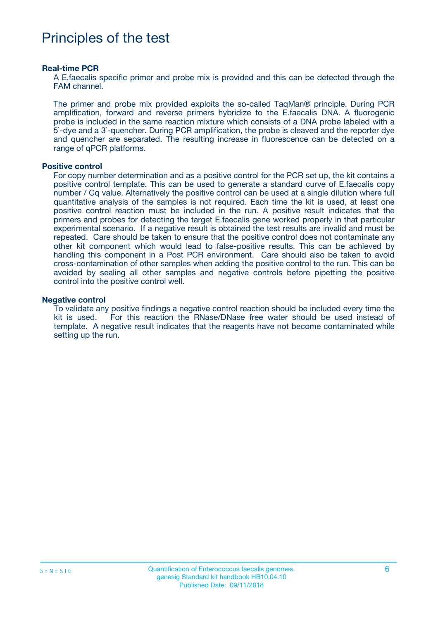### Principles of the test

#### **Real-time PCR**

A E.faecalis specific primer and probe mix is provided and this can be detected through the FAM channel.

The primer and probe mix provided exploits the so-called TaqMan® principle. During PCR amplification, forward and reverse primers hybridize to the E.faecalis DNA. A fluorogenic probe is included in the same reaction mixture which consists of a DNA probe labeled with a 5`-dye and a 3`-quencher. During PCR amplification, the probe is cleaved and the reporter dye and quencher are separated. The resulting increase in fluorescence can be detected on a range of qPCR platforms.

#### **Positive control**

For copy number determination and as a positive control for the PCR set up, the kit contains a positive control template. This can be used to generate a standard curve of E.faecalis copy number / Cq value. Alternatively the positive control can be used at a single dilution where full quantitative analysis of the samples is not required. Each time the kit is used, at least one positive control reaction must be included in the run. A positive result indicates that the primers and probes for detecting the target E.faecalis gene worked properly in that particular experimental scenario. If a negative result is obtained the test results are invalid and must be repeated. Care should be taken to ensure that the positive control does not contaminate any other kit component which would lead to false-positive results. This can be achieved by handling this component in a Post PCR environment. Care should also be taken to avoid cross-contamination of other samples when adding the positive control to the run. This can be avoided by sealing all other samples and negative controls before pipetting the positive control into the positive control well.

#### **Negative control**

To validate any positive findings a negative control reaction should be included every time the kit is used. For this reaction the RNase/DNase free water should be used instead of template. A negative result indicates that the reagents have not become contaminated while setting up the run.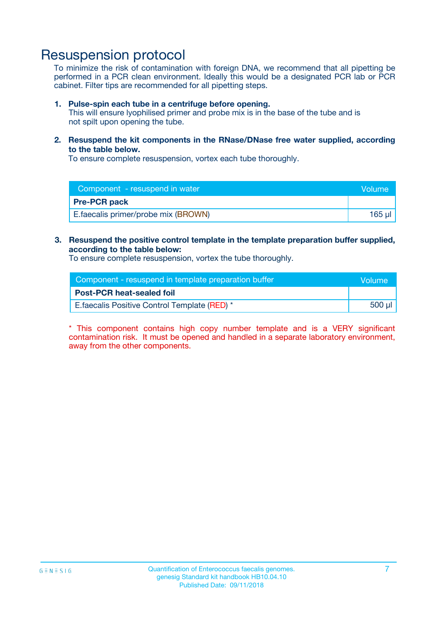### Resuspension protocol

To minimize the risk of contamination with foreign DNA, we recommend that all pipetting be performed in a PCR clean environment. Ideally this would be a designated PCR lab or PCR cabinet. Filter tips are recommended for all pipetting steps.

#### **1. Pulse-spin each tube in a centrifuge before opening.**

This will ensure lyophilised primer and probe mix is in the base of the tube and is not spilt upon opening the tube.

**2. Resuspend the kit components in the RNase/DNase free water supplied, according to the table below.**

To ensure complete resuspension, vortex each tube thoroughly.

| Component - resuspend in water       | Volume   |
|--------------------------------------|----------|
| <b>Pre-PCR pack</b>                  |          |
| E. faecalis primer/probe mix (BROWN) | $165$ µl |

#### **3. Resuspend the positive control template in the template preparation buffer supplied, according to the table below:**

To ensure complete resuspension, vortex the tube thoroughly.

| Component - resuspend in template preparation buffer |        |  |
|------------------------------------------------------|--------|--|
| <b>Post-PCR heat-sealed foil</b>                     |        |  |
| E. faecalis Positive Control Template (RED) *        | 500 µl |  |

\* This component contains high copy number template and is a VERY significant contamination risk. It must be opened and handled in a separate laboratory environment, away from the other components.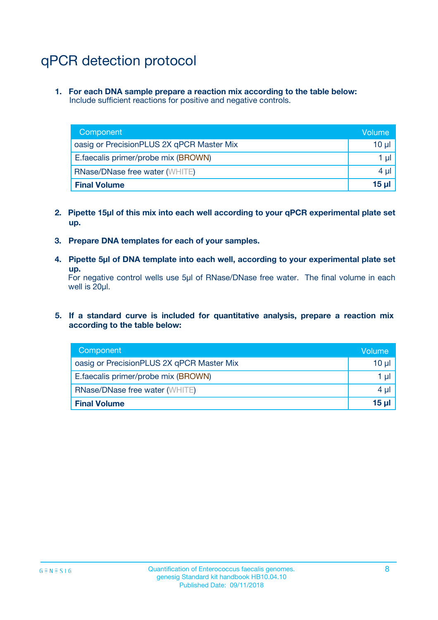## qPCR detection protocol

**1. For each DNA sample prepare a reaction mix according to the table below:** Include sufficient reactions for positive and negative controls.

| Component                                 | Volume           |
|-------------------------------------------|------------------|
| oasig or PrecisionPLUS 2X qPCR Master Mix | 10 $\mu$         |
| E.faecalis primer/probe mix (BROWN)       | 1 $\mu$          |
| <b>RNase/DNase free water (WHITE)</b>     | $4 \mu$          |
| <b>Final Volume</b>                       | 15 <sub>ul</sub> |

- **2. Pipette 15µl of this mix into each well according to your qPCR experimental plate set up.**
- **3. Prepare DNA templates for each of your samples.**
- **4. Pipette 5µl of DNA template into each well, according to your experimental plate set up.**

For negative control wells use 5µl of RNase/DNase free water. The final volume in each well is 20µl.

**5. If a standard curve is included for quantitative analysis, prepare a reaction mix according to the table below:**

| Component                                 | Volume          |
|-------------------------------------------|-----------------|
| oasig or PrecisionPLUS 2X qPCR Master Mix | 10 µl           |
| E.faecalis primer/probe mix (BROWN)       | 1 µI            |
| <b>RNase/DNase free water (WHITE)</b>     | $4 \mu$         |
| <b>Final Volume</b>                       | 15 <sub>µ</sub> |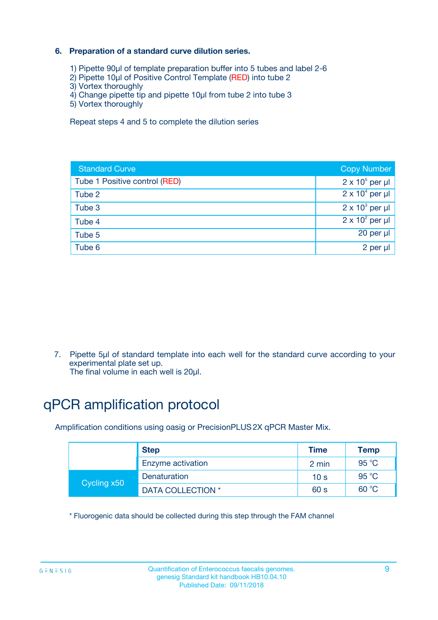#### **6. Preparation of a standard curve dilution series.**

- 1) Pipette 90µl of template preparation buffer into 5 tubes and label 2-6
- 2) Pipette 10µl of Positive Control Template (RED) into tube 2
- 3) Vortex thoroughly
- 4) Change pipette tip and pipette 10µl from tube 2 into tube 3
- 5) Vortex thoroughly

Repeat steps 4 and 5 to complete the dilution series

| <b>Standard Curve</b>         | <b>Copy Number</b>     |
|-------------------------------|------------------------|
| Tube 1 Positive control (RED) | $2 \times 10^5$ per µl |
| Tube 2                        | $2 \times 10^4$ per µl |
| Tube 3                        | $2 \times 10^3$ per µl |
| Tube 4                        | $2 \times 10^2$ per µl |
| Tube 5                        | 20 per µl              |
| Tube 6                        | $2$ per $\mu$          |

7. Pipette 5µl of standard template into each well for the standard curve according to your experimental plate set up.

#### The final volume in each well is 20µl.

## qPCR amplification protocol

Amplification conditions using oasig or PrecisionPLUS2X qPCR Master Mix.

|             | <b>Step</b>       | <b>Time</b>     | Temp    |
|-------------|-------------------|-----------------|---------|
|             | Enzyme activation | 2 min           | 95 °C   |
| Cycling x50 | Denaturation      | 10 <sub>s</sub> | 95 $°C$ |
|             | DATA COLLECTION * | 60 s            | 60 °C   |

\* Fluorogenic data should be collected during this step through the FAM channel